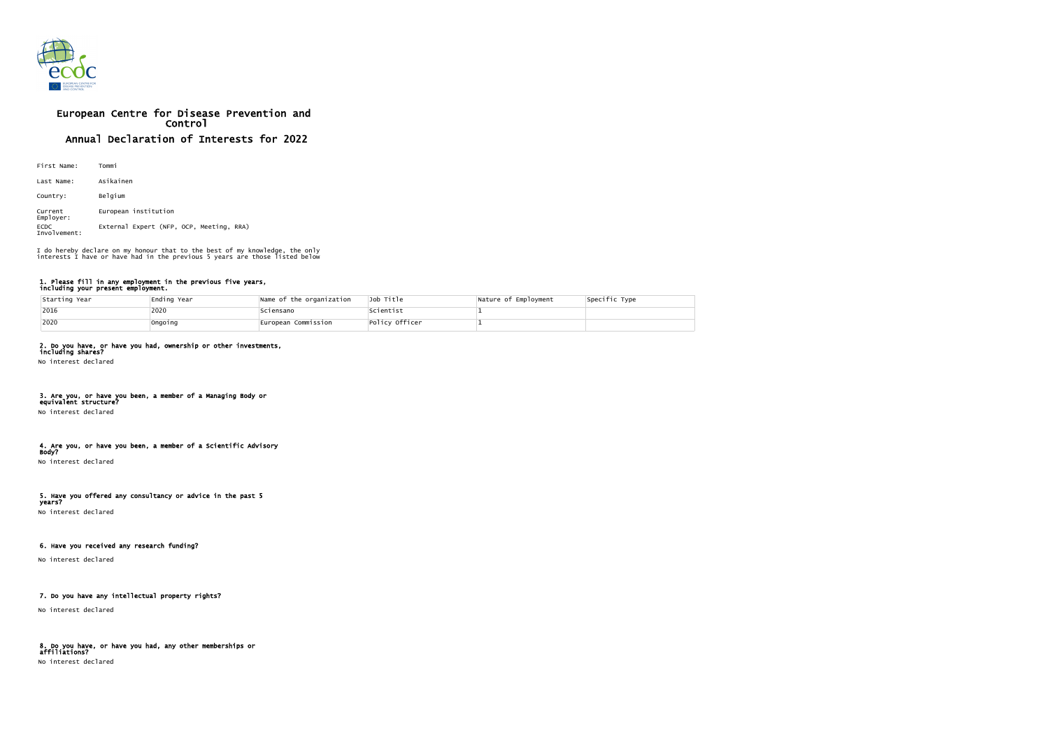

# European Centre for Disease Prevention and Control Annual Declaration of Interests for 2022

| First Name:                 | Tommi                                    |
|-----------------------------|------------------------------------------|
| Last Name:                  | Asikainen                                |
| Country:                    | Belgium                                  |
| Current<br>Employer:        | European institution                     |
| <b>ECDC</b><br>Involvement: | External Expert (NFP, OCP, Meeting, RRA) |

#### 1. Please fill in any employment in the previous five years, including your present employment.

| Starting Year | Ending Year | Name of the organization | Job Title      | Nature of Employment | Specific Type |
|---------------|-------------|--------------------------|----------------|----------------------|---------------|
| 2016          | 2020        | Sciensano                | Scientist      |                      |               |
| 2020          | Ongoing     | European Commission      | Policy Officer |                      |               |

### 2. Do you have, or have you had, ownership or other investments,

including shares? No interest declared

#### 3. Are you, or have you been, a member of a Managing Body or equivalent structure?

No interest declared

# 4. Are you, or have you been, a member of a Scientific Advisory

Body? No interest declared

#### 5. Have you offered any consultancy or advice in the past 5 years?

No interest declared

# 6. Have you received any research funding?

No interest declared

# 7. Do you have any intellectual property rights?

No interest declared

#### 8. Do you have, or have you had, any other memberships or affiliations? No interest declared

I do hereby declare on my honour that to the best of my knowledge, the only interests I have or have had in the previous 5 years are those listed below